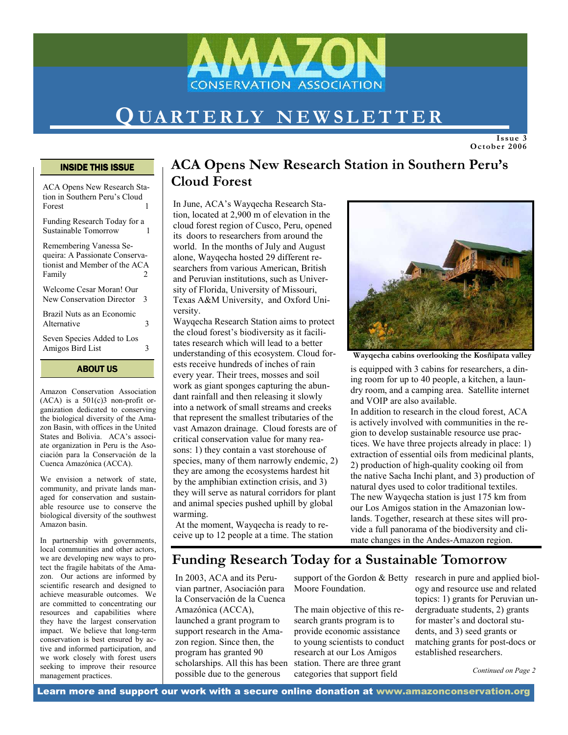

# QUARTERLY NEWSLETTER

Issue 3 October 2006

#### INSIDE THIS ISSUE

ACA Opens New Research Station in Southern Peru's Cloud **Forest** 

Funding Research Today for a Sustainable Tomorrow 1

Remembering Vanessa Sequeira: A Passionate Conservationist and Member of the ACA Family 2

Welcome Cesar Moran! Our New Conservation Director 3

Brazil Nuts as an Economic Alternative 3

Seven Species Added to Los Amigos Bird List 3

ABOUT US

Amazon Conservation Association  $(ACA)$  is a  $501(c)3$  non-profit organization dedicated to conserving the biological diversity of the Amazon Basin, with offices in the United States and Bolivia. ACA's associate organization in Peru is the Asociación para la Conservación de la Cuenca Amazónica (ACCA).

We envision a network of state, community, and private lands managed for conservation and sustainable resource use to conserve the biological diversity of the southwest Amazon basin.

In partnership with governments, local communities and other actors, we are developing new ways to protect the fragile habitats of the Amazon. Our actions are informed by scientific research and designed to achieve measurable outcomes. We are committed to concentrating our resources and capabilities where they have the largest conservation impact. We believe that long-term conservation is best ensured by active and informed participation, and we work closely with forest users seeking to improve their resource management practices.

### ACA Opens New Research Station in Southern Peru's Cloud Forest

In June, ACA's Wayqecha Research Station, located at 2,900 m of elevation in the cloud forest region of Cusco, Peru, opened its doors to researchers from around the world. In the months of July and August alone, Wayqecha hosted 29 different researchers from various American, British and Peruvian institutions, such as University of Florida, University of Missouri, Texas A&M University, and Oxford University.

Wayqecha Research Station aims to protect the cloud forest's biodiversity as it facilitates research which will lead to a better understanding of this ecosystem. Cloud forests receive hundreds of inches of rain every year. Their trees, mosses and soil work as giant sponges capturing the abundant rainfall and then releasing it slowly into a network of small streams and creeks that represent the smallest tributaries of the vast Amazon drainage. Cloud forests are of critical conservation value for many reasons: 1) they contain a vast storehouse of species, many of them narrowly endemic, 2) they are among the ecosystems hardest hit by the amphibian extinction crisis, and 3) they will serve as natural corridors for plant and animal species pushed uphill by global warming.

 At the moment, Wayqecha is ready to receive up to 12 people at a time. The station



Wayqecha cabins overlooking the Kosñipata valley

is equipped with 3 cabins for researchers, a dining room for up to 40 people, a kitchen, a laundry room, and a camping area. Satellite internet and VOIP are also available.

In addition to research in the cloud forest, ACA is actively involved with communities in the region to develop sustainable resource use practices. We have three projects already in place: 1) extraction of essential oils from medicinal plants, 2) production of high-quality cooking oil from the native Sacha Inchi plant, and 3) production of natural dyes used to color traditional textiles. The new Wayqecha station is just 175 km from our Los Amigos station in the Amazonian lowlands. Together, research at these sites will provide a full panorama of the biodiversity and climate changes in the Andes-Amazon region.

### Funding Research Today for a Sustainable Tomorrow

In 2003, ACA and its Peruvian partner, Asociación para la Conservación de la Cuenca Amazónica (ACCA), launched a grant program to support research in the Amazon region. Since then, the program has granted 90 scholarships. All this has been possible due to the generous

Moore Foundation.

The main objective of this research grants program is to provide economic assistance to young scientists to conduct research at our Los Amigos station. There are three grant categories that support field

support of the Gordon & Betty research in pure and applied biology and resource use and related topics: 1) grants for Peruvian undergraduate students, 2) grants for master's and doctoral students, and 3) seed grants or matching grants for post-docs or established researchers.

Continued on Page 2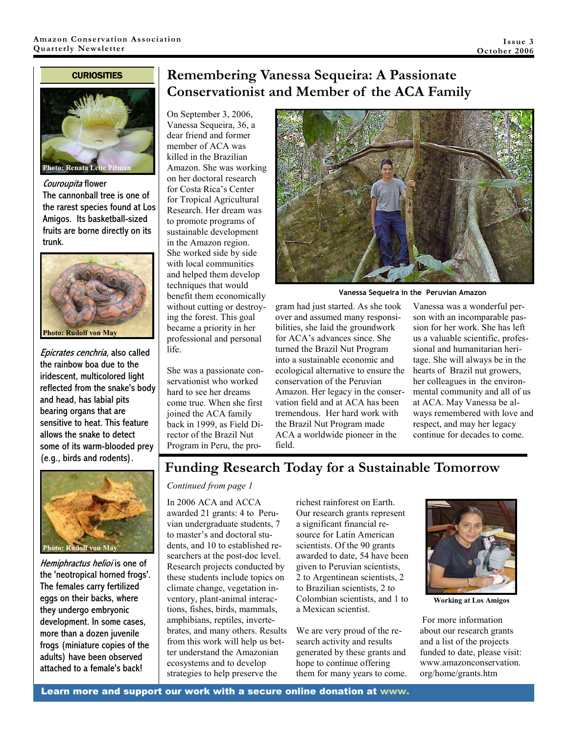#### **CURIOSITIES**



Couroupita flower The cannonball tree is one of the rarest species found at Los Amigos. Its basketball-sized fruits are borne directly on its trunk.



Epicrates cenchria, also called the rainbow boa due to the iridescent, multicolored light reflected from the snake's body and head, has labial pits bearing organs that are sensitive to heat. This feature allows the snake to detect some of its warm-blooded prey (e.g., birds and rodents).



Hemiphractus helioi is one of the 'neotropical horned frogs'. The females carry fertilized eggs on their backs, where they undergo embryonic development. In some cases, more than a dozen juvenile frogs (miniature copies of the adults) have been observed attached to a female's back!

### Remembering Vanessa Sequeira: A Passionate Conservationist and Member of the ACA Family

On September 3, 2006, Vanessa Sequeira, 36, a dear friend and former member of ACA was killed in the Brazilian Amazon. She was working on her doctoral research for Costa Rica's Center for Tropical Agricultural Research. Her dream was to promote programs of sustainable development in the Amazon region. She worked side by side with local communities and helped them develop techniques that would benefit them economically without cutting or destroying the forest. This goal became a priority in her professional and personal life.

She was a passionate conservationist who worked hard to see her dreams come true. When she first joined the ACA family back in 1999, as Field Director of the Brazil Nut Program in Peru, the pro-



Vanessa Sequeira in the Peruvian Amazon

gram had just started. As she took over and assumed many responsibilities, she laid the groundwork for ACA's advances since. She turned the Brazil Nut Program into a sustainable economic and ecological alternative to ensure the conservation of the Peruvian Amazon. Her legacy in the conservation field and at ACA has been tremendous. Her hard work with the Brazil Nut Program made ACA a worldwide pioneer in the field.

Vanessa was a wonderful person with an incomparable passion for her work. She has left us a valuable scientific, professional and humanitarian heritage. She will always be in the hearts of Brazil nut growers, her colleagues in the environmental community and all of us at ACA. May Vanessa be always remembered with love and respect, and may her legacy continue for decades to come.

### Funding Research Today for a Sustainable Tomorrow

#### Continued from page 1

In 2006 ACA and ACCA awarded 21 grants: 4 to Peruvian undergraduate students, 7 to master's and doctoral students, and 10 to established researchers at the post-doc level. Research projects conducted by these students include topics on climate change, vegetation inventory, plant-animal interactions, fishes, birds, mammals, amphibians, reptiles, invertebrates, and many others. Results from this work will help us better understand the Amazonian ecosystems and to develop strategies to help preserve the

richest rainforest on Earth. Our research grants represent a significant financial resource for Latin American scientists. Of the 90 grants awarded to date, 54 have been given to Peruvian scientists, 2 to Argentinean scientists, 2 to Brazilian scientists, 2 to Colombian scientists, and 1 to a Mexican scientist.

We are very proud of the research activity and results generated by these grants and hope to continue offering them for many years to come.



Working at Los Amigos

 For more information about our research grants and a list of the projects funded to date, please visit: www.amazonconservation. org/home/grants.htm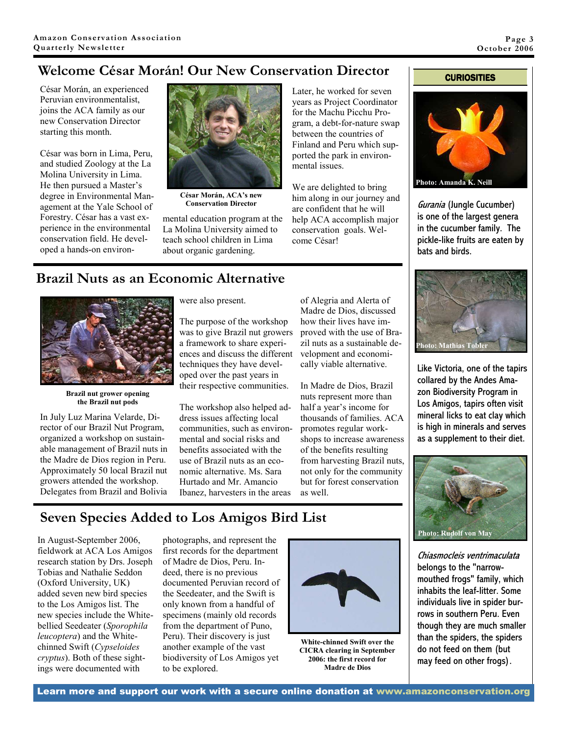## Welcome César Morán! Our New Conservation Director

César Morán, an experienced Peruvian environmentalist, joins the ACA family as our new Conservation Director starting this month.

César was born in Lima, Peru, and studied Zoology at the La Molina University in Lima. He then pursued a Master's degree in Environmental Management at the Yale School of Forestry. César has a vast experience in the environmental conservation field. He developed a hands-on environ-



César Morán, ACA's new Conservation Director

mental education program at the La Molina University aimed to teach school children in Lima about organic gardening.

Later, he worked for seven years as Project Coordinator for the Machu Picchu Program, a debt-for-nature swap between the countries of Finland and Peru which supported the park in environmental issues.

We are delighted to bring him along in our journey and are confident that he will help ACA accomplish major conservation goals. Welcome César!

#### **CURIOSITIES**



Gurania (Jungle Cucumber) is one of the largest genera in the cucumber family. The pickle-like fruits are eaten by bats and birds.



Like Victoria, one of the tapirs collared by the Andes Amazon Biodiversity Program in Los Amigos, tapirs often visit mineral licks to eat clay which is high in minerals and serves as a supplement to their diet.



Chiasmocleis ventrimaculata belongs to the "narrowmouthed frogs" family, which inhabits the leaf-litter. Some individuals live in spider burrows in southern Peru. Even though they are much smaller than the spiders, the spiders do not feed on them (but may feed on other frogs).

### Brazil Nuts as an Economic Alternative



Brazil nut grower opening the Brazil nut pods

In July Luz Marina Velarde, Director of our Brazil Nut Program, organized a workshop on sustainable management of Brazil nuts in the Madre de Dios region in Peru. Approximately 50 local Brazil nut growers attended the workshop. Delegates from Brazil and Bolivia were also present.

The purpose of the workshop was to give Brazil nut growers a framework to share experiences and discuss the different techniques they have developed over the past years in their respective communities.

The workshop also helped address issues affecting local communities, such as environmental and social risks and benefits associated with the use of Brazil nuts as an economic alternative. Ms. Sara Hurtado and Mr. Amancio Ibanez, harvesters in the areas

of Alegria and Alerta of Madre de Dios, discussed how their lives have improved with the use of Brazil nuts as a sustainable development and economically viable alternative.

In Madre de Dios, Brazil nuts represent more than half a year's income for thousands of families. ACA promotes regular workshops to increase awareness of the benefits resulting from harvesting Brazil nuts, not only for the community but for forest conservation as well.

## Seven Species Added to Los Amigos Bird List

In August-September 2006, fieldwork at ACA Los Amigos research station by Drs. Joseph Tobias and Nathalie Seddon (Oxford University, UK) added seven new bird species to the Los Amigos list. The new species include the Whitebellied Seedeater (Sporophila leucoptera) and the Whitechinned Swift (Cypseloides cryptus). Both of these sightings were documented with

photographs, and represent the first records for the department of Madre de Dios, Peru. Indeed, there is no previous documented Peruvian record of the Seedeater, and the Swift is only known from a handful of specimens (mainly old records from the department of Puno, Peru). Their discovery is just another example of the vast biodiversity of Los Amigos yet to be explored.



White-chinned Swift over the CICRA clearing in September 2006: the first record for Madre de Dios